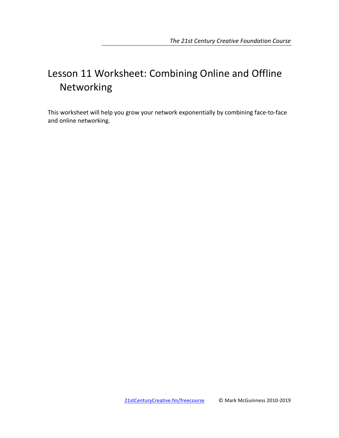# Lesson 11 Worksheet: Combining Online and Offline Networking

This worksheet will help you grow your network exponentially by combining face-to-face and online networking.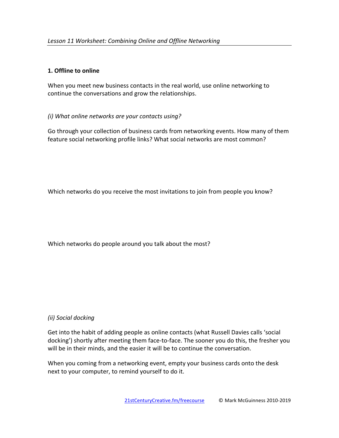### **1. Offline to online**

When you meet new business contacts in the real world, use online networking to continue the conversations and grow the relationships.

## *(i) What online networks are your contacts using?*

Go through your collection of business cards from networking events. How many of them feature social networking profile links? What social networks are most common?

Which networks do you receive the most invitations to join from people you know?

Which networks do people around you talk about the most?

## *(ii) Social docking*

Get into the habit of adding people as online contacts (what Russell Davies calls 'social docking') shortly after meeting them face-to-face. The sooner you do this, the fresher you will be in their minds, and the easier it will be to continue the conversation.

When you coming from a networking event, empty your business cards onto the desk next to your computer, to remind yourself to do it.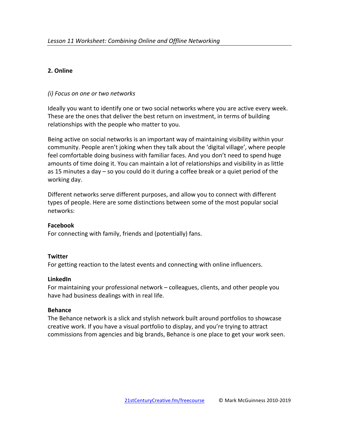## **2. Online**

### *(i) Focus on one or two networks*

Ideally you want to identify one or two social networks where you are active every week. These are the ones that deliver the best return on investment, in terms of building relationships with the people who matter to you.

Being active on social networks is an important way of maintaining visibility within your community. People aren't joking when they talk about the 'digital village', where people feel comfortable doing business with familiar faces. And you don't need to spend huge amounts of time doing it. You can maintain a lot of relationships and visibility in as little as 15 minutes a day  $-$  so you could do it during a coffee break or a quiet period of the working day.

Different networks serve different purposes, and allow you to connect with different types of people. Here are some distinctions between some of the most popular social networks:

#### **Facebook**

For connecting with family, friends and (potentially) fans.

#### **Twitter**

For getting reaction to the latest events and connecting with online influencers.

#### **LinkedIn**

For maintaining your professional network – colleagues, clients, and other people you have had business dealings with in real life.

#### **Behance**

The Behance network is a slick and stylish network built around portfolios to showcase creative work. If you have a visual portfolio to display, and you're trying to attract commissions from agencies and big brands, Behance is one place to get your work seen.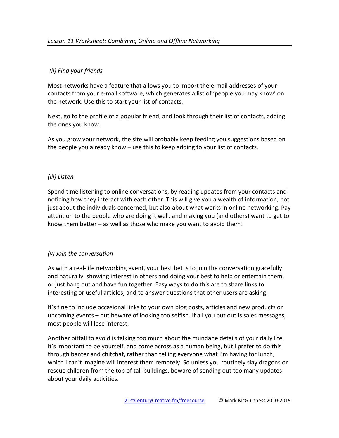## *(ii) Find your friends*

Most networks have a feature that allows you to import the e-mail addresses of your contacts from your e-mail software, which generates a list of 'people you may know' on the network. Use this to start your list of contacts.

Next, go to the profile of a popular friend, and look through their list of contacts, adding the ones you know.

As you grow your network, the site will probably keep feeding you suggestions based on the people you already know  $-$  use this to keep adding to your list of contacts.

#### *(iii) Listen*

Spend time listening to online conversations, by reading updates from your contacts and noticing how they interact with each other. This will give you a wealth of information, not just about the individuals concerned, but also about what works in online networking. Pay attention to the people who are doing it well, and making you (and others) want to get to know them better  $-$  as well as those who make you want to avoid them!

#### *(v) Join the conversation*

As with a real-life networking event, your best bet is to join the conversation gracefully and naturally, showing interest in others and doing your best to help or entertain them, or just hang out and have fun together. Easy ways to do this are to share links to interesting or useful articles, and to answer questions that other users are asking.

It's fine to include occasional links to your own blog posts, articles and new products or upcoming events  $-$  but beware of looking too selfish. If all you put out is sales messages, most people will lose interest.

Another pitfall to avoid is talking too much about the mundane details of your daily life. It's important to be yourself, and come across as a human being, but I prefer to do this through banter and chitchat, rather than telling everyone what I'm having for lunch, which I can't imagine will interest them remotely. So unless you routinely slay dragons or rescue children from the top of tall buildings, beware of sending out too many updates about your daily activities.